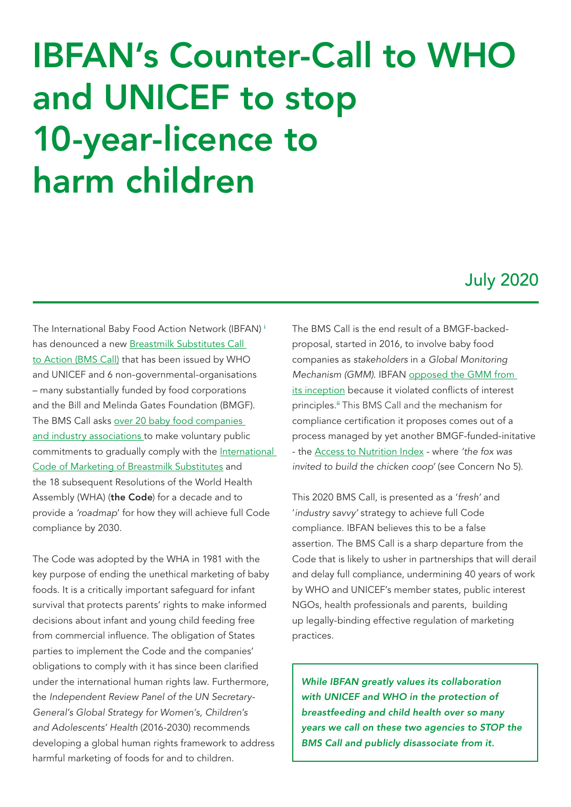# <span id="page-0-0"></span>IBFAN's Counter-Call to WHO and UNICEF to stop 10-year-licence to harm children

### July 2020

The International Baby Food Action Network (IBFAN) [i](#page-3-0) has denounced a new [Breastmilk Substitutes](https://www.bmscalltoaction.info/) Call to Action [\(BMS Call\)](https://www.bmscalltoaction.info/) that has been issued by WHO and UNICEF and 6 non-governmental-organisations – many substantially funded by food corporations and the Bill and Melinda Gates Foundation (BMGF). The BMS Call asks over 2[0 baby food companies](http://www.babymilkaction.org/wp-content/uploads/2020/06/Screenshot-2020-07-14-19.36.42.png)  [and industry associations](http://www.babymilkaction.org/wp-content/uploads/2020/06/Screenshot-2020-07-14-19.36.42.png) to make voluntary public commitments to gradually comply with the International [Code of Marketing of Breastmilk Substitute](https://www.who.int/nutrition/netcode/resolutions/en/)s and the 18 subsequent Resolutions of the World Health Assembly (WHA) (the Code) for a decade and to provide a *'roadmap*' for how they will achieve full Code compliance by 2030.

The Code was adopted by the WHA in 1981 with the key purpose of ending the unethical marketing of baby foods. It is a critically important safeguard for infant survival that protects parents' rights to make informed decisions about infant and young child feeding free from commercial influence. The obligation of States parties to implement the Code and the companies' obligations to comply with it has since been clarified under the international human rights law. Furthermore, the *Independent Review Panel of the UN Secretary-General's Global Strategy for Women's, Children's and Adolescents' Health* (2016-2030) recommends developing a global human rights framework to address harmful marketing of foods for and to children.

The BMS Call is the end result of a BMGF-backedproposal, started in 2016, to involve baby food companies as *stakeholders* in a *Global Monitoring Mechanism (GMM).* IBFAN [opposed the GMM from](http://www.babymilkaction.org/wp-content/uploads/2017/10/IBFAN-Note-of-Dissent-FINAL.pdf)  [its inception](http://www.babymilkaction.org/wp-content/uploads/2017/10/IBFAN-Note-of-Dissent-FINAL.pdf) because it violated conflicts of interest principles.<sup>[ii](#page-3-0)</sup> This BMS Call and the mechanism for [compliance certification it proposes comes out of a](https://accesstonutrition.org/)  [process managed by yet another BMGF-funded-initative](https://accesstonutrition.org/)  [- the Access to Nutrition Index - where](https://accesstonutrition.org/) *'the fox was [invited to build the chicken coop](https://accesstonutrition.org/)'* (see Concern No 5).

This 2020 BMS Call, is presented as a '*fresh'* and '*industry savvy'* strategy to achieve full Code compliance. IBFAN believes this to be a false assertion. The BMS Call is a sharp departure from the Code that is likely to usher in partnerships that will derail and delay full compliance, undermining 40 years of work by WHO and UNICEF's member states, public interest NGOs, health professionals and parents, building up legally-binding effective regulation of marketing practices.

*While IBFAN greatly values its collaboration with UNICEF and WHO in the protection of breastfeeding and child health over so many years we call on these two agencies to STOP the BMS Call and publicly disassociate from it.*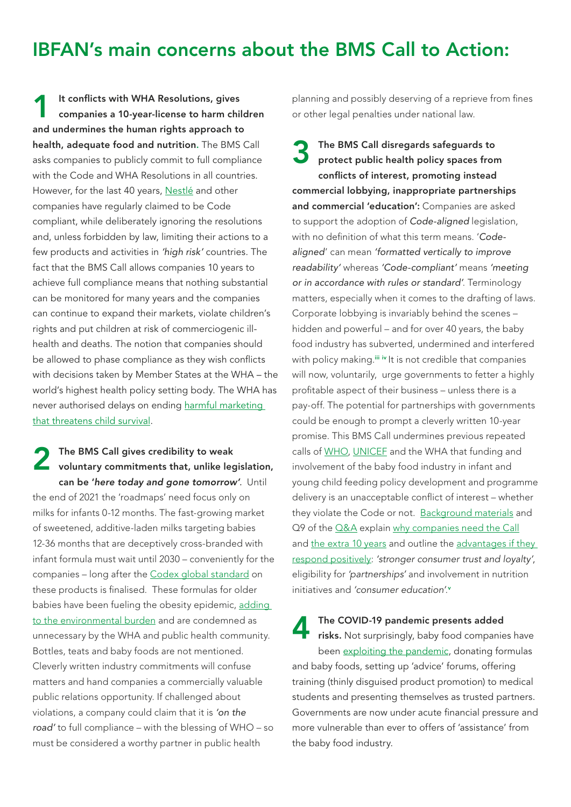### <span id="page-1-0"></span>IBFAN's main concerns about the BMS Call to Action:

It conflicts with WHA Resolutions, gives companies a 10-year-license to harm children and undermines the human rights approach to health, adequate food and nutrition. The BMS Call asks companies to publicly commit to full compliance with the Code and WHA Resolutions in all countries. However, for the last 40 years, Nestlé [and other](https://www.nestle.com/ask-nestle/health-nutrition/answers/who-code)  [companies have regularly claimed to be](https://www.nestle.com/ask-nestle/health-nutrition/answers/who-code) Code [compliant,](https://www.nestle.com/ask-nestle/health-nutrition/answers/who-code) while deliberately ignoring the resolutions and, unless forbidden by law, limiting their actions to a few products and activities in *'high risk'* countries. The fact that the BMS Call allows companies 10 years to achieve full compliance means that nothing substantial can be monitored for many years and the companies can continue to expand their markets, violate children's rights and put children at risk of commerciogenic illhealth and deaths. The notion that companies should be allowed to phase compliance as they wish conflicts with decisions taken by Member States at the WHA – the world's highest health policy setting body. The WHA has never authorised delays on ending [harmful marketing](https://www.who.int/news-room/detail/27-05-2020-countries-failing-to-stop-harmful-marketing-of-breast-milk-substitutes-warn-who-and-unicef)  [that threatens child survival.](https://www.who.int/news-room/detail/27-05-2020-countries-failing-to-stop-harmful-marketing-of-breast-milk-substitutes-warn-who-and-unicef) 1

The BMS Call gives credibility to weak The BMS Call gives credibility to weak<br>voluntary commitments that, unlike legislation, can be '*here today and gone tomorrow'.* Until the end of 2021 the 'roadmaps' need focus only on milks for infants 0-12 months. The fast-growing market of sweetened, additive-laden milks targeting babies 12-36 months that are deceptively cross-branded with infant formula must wait until 2030 – conveniently for the companies – long after the [Codex global standard](http://www.babymilkaction.org/archives/24252) on these products is finalised. These formulas for older babies have been fueling the obesity epidemic, [adding](http://www.babymilkaction.org/monitoring-global)  to [the environmental burden](http://www.babymilkaction.org/monitoring-global) and are condemned as unnecessary by the WHA and public health community. Bottles, teats and baby foods are not mentioned. Cleverly written industry commitments will confuse matters and hand companies a commercially valuable public relations opportunity. If challenged about violations, a company could claim that it is *'on the road'* to full compliance – with the blessing of WHO – so must be considered a worthy partner in public health

planning and possibly deserving of a reprieve from fines or other legal penalties under national law.

The BMS Call disregards safeguards to protect public health policy spaces from conflicts of interest, promoting instead commercial lobbying, inappropriate partnerships and commercial 'education': Companies are asked to support the adoption of *Code-aligned* legislation, with no definition of what this term means. '*Codealigned*' can mean *'formatted vertically to improve readability'* whereas *'Code-compliant'* means *'meeting or in accordance with rules or standard'*. Terminology matters, especially when it comes to the drafting of laws. Corporate lobbying is invariably behind the scenes – hidden and powerful – and for over 40 years, the baby food industry has subverted, undermined and interfered with policy making.<sup>[iii](#page-3-0)</sup> [iv](#page-3-0) It is not credible that companies will now, voluntarily, urge governments to fetter a highly profitable aspect of their business – unless there is a pay-off. The potential for partnerships with governments could be enough to prompt a cleverly written 10-year promise. This BMS Call undermines previous repeated calls of [WHO,](https://www.who.int/publications/i/item/9789240006010) [UNICEF](https://www.nutritioncluster.net/Resources_Financial_In-kind_contributions_Food_Beverage_companies) and the WHA that funding and involvement of the baby food industry in infant and young child feeding policy development and programme delivery is an unacceptable conflict of interest – whether they violate the Code or not. B[ackground m](http://www.babymilkaction.org/wp-content/uploads/2020/07/CTA-Internal-Webinar-PPT-6.22.20-compressed.pdf)aterials and Q9 of the O&A explain why companies need the Call and [the extra 10 years](http://www.babymilkaction.org/wp-content/uploads/2020/06/Screenshot-2020-07-14-19.36.06.png) and outline the [advantages if they](http://www.babymilkaction.org/wp-content/uploads/2020/06/2-The-Need.png)  [respond positively](http://www.babymilkaction.org/wp-content/uploads/2020/06/2-The-Need.png): *'stronger consumer trust and loyalty'*, eligibility for *'partnerships'* and involvement in nutrition initiatives and *'consumer education'*. [v](#page-3-0) 3

The COVID-19 pandemic presents added

risks. Not surprisingly, baby food companies have been [exploiting the pandemic,](http://babymilkaction.org/archives/24341) donating formulas and baby foods, setting up 'advice' forums, offering training (thinly disguised product promotion) to medical students and presenting themselves as trusted partners. Governments are now under acute financial pressure and more vulnerable than ever to offers of 'assistance' from the baby food industry. 4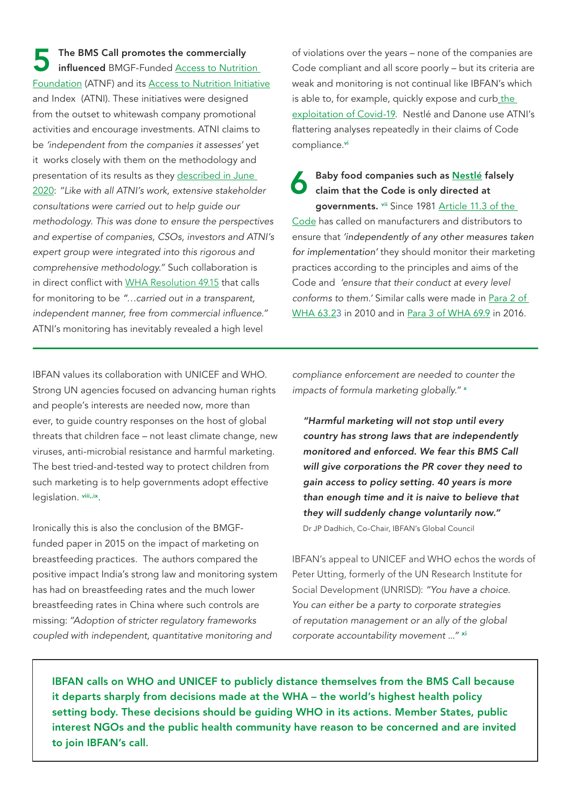<span id="page-2-0"></span>The BMS Call promotes the commercially influenced BMGF-Funded [Access to Nutrition](https://the-nwgn.org/about-us/accesstonutritionfoundation/)  [Foundation](https://the-nwgn.org/about-us/accesstonutritionfoundation/) (ATNF) and its [Access to Nutrition Initiative](https://accesstonutrition.org/) and Index (ATNI). These initiatives were designed from the outset to whitewash company promotional activities and encourage investments. ATNI claims to be *'independent from the companies it assesses'* yet it works closely with them on the methodology and presentation of its results as they [described in June](https://accesstonutrition.org/news/methodology-for-the-global-index-2021-now-online/)  [2020](https://accesstonutrition.org/news/methodology-for-the-global-index-2021-now-online/): *"Like with all ATNI's work, extensive stakeholder consultations were carried out to help guide our methodology. This was done to ensure the perspectives and expertise of companies, CSOs, investors and ATNI's expert group were integrated into this rigorous and comprehensive methodology."* Such collaboration is in direct conflict with [WHA Resolution 49.15](https://www.who.int/nutrition/topics/WHA49.15_iycn_en.pdf?ua=1) that calls for monitoring to be *"…carried out in a transparent, independent manner, free from commercial influence."* ATNI's monitoring has inevitably revealed a high level 5

IBFAN values its collaboration with UNICEF and WHO. Strong UN agencies focused on advancing human rights and people's interests are needed now, more than ever, to guide country responses on the host of global threats that children face – not least climate change, new viruses, anti-microbial resistance and harmful marketing. The best tried-and-tested way to protect children from such marketing is to help governments adopt effective legislation. [viii,,ix](#page-3-0).

Ironically this is also the conclusion of the BMGFfunded paper in 2015 on the impact of marketing on breastfeeding practices. The authors compared the positive impact India's strong law and monitoring system has had on breastfeeding rates and the much lower breastfeeding rates in China where such controls are missing: *"Adoption of stricter regulatory frameworks coupled with independent, quantitative monitoring and* 

of violations over the years – none of the companies are Code compliant and all score poorly – but its criteria are weak and monitoring is not continual like IBFAN's which is able to, for example, [quickly expose and curb](http://www.babymilkaction.org/archives/24341)\_the [exploitation of Covid-19.](http://www.babymilkaction.org/archives/24341) Nestlé and Danone use ATNI's flattering analyses repeatedly in their claims of Code compliance.[vi](#page-3-0)

Baby food companies such as [Nestlé](https://www.nestle.com/ask-nestle/health-nutrition/answers/who-code) falsely claim that the Code is only directed at governments. [vii](#page-3-0) Since 1981 [Article 11.3 of the](https://www.who.int/nutrition/netcode/resolutions/en/)  [Code](https://www.who.int/nutrition/netcode/resolutions/en/) has called on manufacturers and distributors to ensure that *'independently of any other measures taken for implementation'* they should monitor their marketing practices according to the principles and aims of the Code and *'ensure that their conduct at every level conforms to them.'* Similar calls were made in [Para 2 of](https://www.who.int/nutrition/topics/WHA63.23_iycn_en.pdf?ua=1)  [WHA 63.23](https://www.who.int/nutrition/topics/WHA63.23_iycn_en.pdf?ua=1) in 2010 and in [Para 3 of WHA 69.9](https://apps.who.int/gb/ebwha/pdf_files/WHA69/A69_R9-en.pdf?ua=1&ua=1) in 2016. 6

*compliance enforcement are needed to counter the impacts of formula marketing globally."* [x](#page-3-0)

*"Harmful marketing will not stop until every country has strong laws that are independently monitored and enforced. We fear this BMS Call will give corporations the PR cover they need to gain access to policy setting. 40 years is more than enough time and it is naive to believe that they will suddenly change voluntarily now."*

Dr JP Dadhich, Co-Chair, IBFAN's Global Council

IBFAN's appeal to UNICEF and WHO echos the words of Peter Utting, formerly of the UN Research Institute for Social Development (UNRISD): *"You have a choice. You can either be a party to corporate strategies of reputation management or an ally of the global corporate accountability movement ..."* [xi](#page-3-0)

IBFAN calls on WHO and UNICEF to publicly distance themselves from the BMS Call because it departs sharply from decisions made at the WHA – the world's highest health policy setting body. These decisions should be guiding WHO in its actions. Member States, public interest NGOs and the public health community have reason to be concerned and are invited to join IBFAN's call.